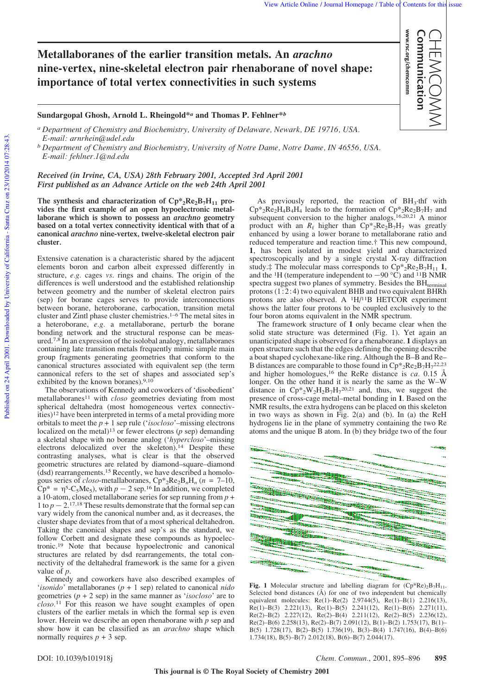www.rsc.org/chemcomm Communication

www.rsc.org/chemcomm Communication CHEMCOMM

## **Metallaboranes of the earlier transition metals. An** *arachno* **nine-vertex, nine-skeletal electron pair rhenaborane of novel shape: importance of total vertex connectivities in such systems**

**Sundargopal Ghosh, Arnold L. Rheingold\****<sup>a</sup>* **and Thomas P. Fehlner\****<sup>b</sup>*

*a Department of Chemistry and Biochemistry, University of Delaware, Newark, DE 19716, USA. E-mail: arnrhein@udel.edu*

*b Department of Chemistry and Biochemistry, University of Notre Dame, Notre Dame, IN 46556, USA. E-mail: fehlner.1@nd.edu*

*Received (in Irvine, CA, USA) 28th February 2001, Accepted 3rd April 2001 First published as an Advance Article on the web 24th April 2001*

The synthesis and characterization of  $\text{Cp*}_2\text{Re}_2\text{B}_7\text{H}_{11}$  pro**vides the first example of an open hypoelectronic metallaborane which is shown to possess an** *arachno* **geometry based on a total vertex connectivity identical with that of a canonical** *arachno* **nine-vertex, twelve-skeletal electron pair cluster.**

Extensive catenation is a characteristic shared by the adjacent elements boron and carbon albeit expressed differently in structure, *e.g.* cages *vs*. rings and chains. The origin of the differences is well understood and the established relationship between geometry and the number of skeletal electron pairs (sep) for borane cages serves to provide interconnections between borane, heteroborane, carbocation, transition metal cluster and Zintl phase cluster chemistries.1–6 The metal sites in a heteroborane, *e.g.* a metallaborane, perturb the borane bonding network and the structural response can be measured.7,8 In an expression of the isolobal analogy, metallaboranes containing late transition metals frequently mimic simple main group fragments generating geometries that conform to the canonical structures associated with equivalent sep (the term cannonical refers to the set of shapes and associated sep's exhibited by the known boranes).<sup>9,10</sup>

The observations of Kennedy and coworkers of 'disobedient' metallaboranes11 with *closo* geometries deviating from most spherical deltahedra (most homogeneous vertex connectivities)12 have been interpreted in terms of a metal providing more orbitals to meet the *p* + 1 sep rule ('*isocloso*'–missing electrons localized on the metal)13 or fewer electrons (*p* sep) demanding a skeletal shape with no borane analog ('*hypercloso*'–missing electrons delocalized over the skeleton).14 Despite these contrasting analyses, what is clear is that the observed geometric structures are related by diamond–square–diamond (dsd) rearrangements.15 Recently, we have described a homologous series of *closo*-metallaboranes,  $Cp_{2}Re_{2}B_{n}H_{n}$  ( $n = 7-10$ ,  $Cp^* = \eta^5 - C_5Me_5$ , with  $p - 2$  sep.<sup>16</sup> In addition, we completed a 10-atom, closed metallaborane series for sep running from *p* + 1 to  $p - 2$ <sup>17,18</sup> These results demonstrate that the formal sep can vary widely from the canonical number and, as it decreases, the cluster shape deviates from that of a most spherical deltahedron. Taking the canonical shapes and sep's as the standard, we follow Corbett and designate these compounds as hypoelectronic.19 Note that because hypoelectronic and canonical structures are related by dsd rearrangements, the total connectivity of the deltahedral framework is the same for a given value of *p*.

Kennedy and coworkers have also described examples of '*isonido*' metallaboranes (*p* + 1 sep) related to canonical *nido* geometries (*p* + 2 sep) in the same manner as '*isocloso*' are to *closo.*11 For this reason we have sought examples of open clusters of the earlier metals in which the formal sep is even lower. Herein we describe an open rhenaborane with *p* sep and show how it can be classified as an *arachno* shape which normally requires  $p + 3$  sep.

As previously reported, the reaction of  $BH<sub>3</sub>$  thf with  $\text{Cp*}_2\text{Re}_2\text{H}_4\text{B}_4\text{H}_4$  leads to the formation of  $\text{Cp*}_2\text{Re}_2\text{B}_7\text{H}_7$  and subsequent conversion to the higher analogs.<sup>16,20,21</sup> A minor product with an  $R_f$  higher than  $Cp_{2}Re_{2}B_{7}H_{7}$  was greatly enhanced by using a lower borane to metallaborane ratio and reduced temperature and reaction time.† This new compound, **1**, has been isolated in modest yield and characterized spectroscopically and by a single crystal X-ray diffraction study. $\ddagger$  The molecular mass corresponds to  $Cp^*_{2}Re_{2}B_7H_{11}$  **1**, and the <sup>1</sup>H (temperature independent to  $-90 \degree \hat{C}$ ) and <sup>11</sup>B NMR spectra suggest two planes of symmetry. Besides the  $BH$ <sub>terminal</sub> protons  $(1:2:4)$  two equivalent BHB and two equivalent BHRh protons are also observed. A  $H/I1B$  HETCOR experiment shows the latter four protons to be coupled exclusively to the four boron atoms equivalent in the NMR spectrum.

The framework structure of **1** only became clear when the solid state structure was determined (Fig. 1). Yet again an unanticipated shape is observed for a rhenaborane. **1** displays an open structure such that the edges defining the opening describe a boat shaped cyclohexane-like ring. Although the B–B and Re– B distances are comparable to those found in  $Cp_{2}Re_{2}B_{7}H_{7}^{22,23}$ and higher homologues,16 the ReRe distance is *ca.* 0.15 Å longer. On the other hand it is nearly the same as the W–W distance in  $Cp*_{2}W_{2}H_{2}B_{7}H_{7}^{20,21}$  and, thus, we suggest the presence of cross-cage metal–metal bonding in **1**. Based on the NMR results, the extra hydrogens can be placed on this skeleton in two ways as shown in Fig. 2(a) and (b). In (a) the ReH hydrogens lie in the plane of symmetry containing the two Re atoms and the unique B atom. In (b) they bridge two of the four



**Fig. 1** Molecular structure and labelling diagram for  $(Cp*Re)_2B_7H_{11}$ . Selected bond distances (Å) for one of two independent but chemically equivalent molecules: Re(1)–Re(2) 2.9744(5), Re(1)–B(1) 2.216(13), Re(1)–B(3) 2.221(13), Re(1)–B(5) 2.241(12), Re(1)–B(6) 2.271(11), Re(2)–B(2) 2.227(12), Re(2)–B(4) 2.211(12), Re(2)–B(5) 2.236(12), Re(2)–B(6) 2.258(13), Re(2)–B(7) 2.091(12), B(1)–B(2) 1.753(17), B(1)– B(5) 1.728(17), B(2)–B(5) 1.736(19), B(3)–B(4) 1.747(16), B(4)–B(6) 1.734(18),  $B(5)-B(7)$  2.012(18),  $B(6)-B(7)$  2.044(17).